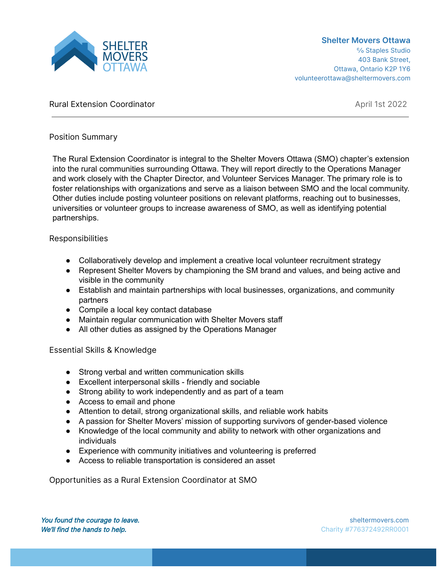

# Rural Extension Coordinator **April 1st 2022**

# Position Summary

The Rural Extension Coordinator is integral to the Shelter Movers Ottawa (SMO) chapter's extension into the rural communities surrounding Ottawa. They will report directly to the Operations Manager and work closely with the Chapter Director, and Volunteer Services Manager. The primary role is to foster relationships with organizations and serve as a liaison between SMO and the local community. Other duties include posting volunteer positions on relevant platforms, reaching out to businesses, universities or volunteer groups to increase awareness of SMO, as well as identifying potential partnerships.

### Responsibilities

- Collaboratively develop and implement a creative local volunteer recruitment strategy
- Represent Shelter Movers by championing the SM brand and values, and being active and visible in the community
- Establish and maintain partnerships with local businesses, organizations, and community partners
- Compile a local key contact database
- Maintain regular communication with Shelter Movers staff
- All other duties as assigned by the Operations Manager

Essential Skills & Knowledge

- Strong verbal and written communication skills
- Excellent interpersonal skills friendly and sociable
- Strong ability to work independently and as part of a team
- Access to email and phone
- Attention to detail, strong organizational skills, and reliable work habits
- A passion for Shelter Movers' mission of supporting survivors of gender-based violence
- Knowledge of the local community and ability to network with other organizations and individuals
- Experience with community initiatives and volunteering is preferred
- Access to reliable transportation is considered an asset

Opportunities as a Rural Extension Coordinator at SMO